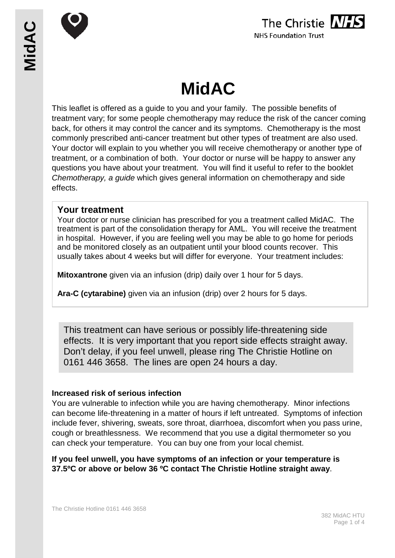





# **MidAC**

This leaflet is offered as a guide to you and your family. The possible benefits of treatment vary; for some people chemotherapy may reduce the risk of the cancer coming back, for others it may control the cancer and its symptoms. Chemotherapy is the most commonly prescribed anti-cancer treatment but other types of treatment are also used. Your doctor will explain to you whether you will receive chemotherapy or another type of treatment, or a combination of both. Your doctor or nurse will be happy to answer any questions you have about your treatment. You will find it useful to refer to the booklet *Chemotherapy, a guide* which gives general information on chemotherapy and side effects.

## **Your treatment**

Your doctor or nurse clinician has prescribed for you a treatment called MidAC. The treatment is part of the consolidation therapy for AML. You will receive the treatment in hospital. However, if you are feeling well you may be able to go home for periods and be monitored closely as an outpatient until your blood counts recover. This usually takes about 4 weeks but will differ for everyone. Your treatment includes:

**Mitoxantrone** given via an infusion (drip) daily over 1 hour for 5 days.

**Ara-C (cytarabine)** given via an infusion (drip) over 2 hours for 5 days.

This treatment can have serious or possibly life-threatening side effects. It is very important that you report side effects straight away. Don't delay, if you feel unwell, please ring The Christie Hotline on 0161 446 3658. The lines are open 24 hours a day.

#### **Increased risk of serious infection**

You are vulnerable to infection while you are having chemotherapy. Minor infections can become life-threatening in a matter of hours if left untreated. Symptoms of infection include fever, shivering, sweats, sore throat, diarrhoea, discomfort when you pass urine, cough or breathlessness. We recommend that you use a digital thermometer so you can check your temperature. You can buy one from your local chemist.

## **If you feel unwell, you have symptoms of an infection or your temperature is 37.5ºC or above or below 36 ºC contact The Christie Hotline straight away**.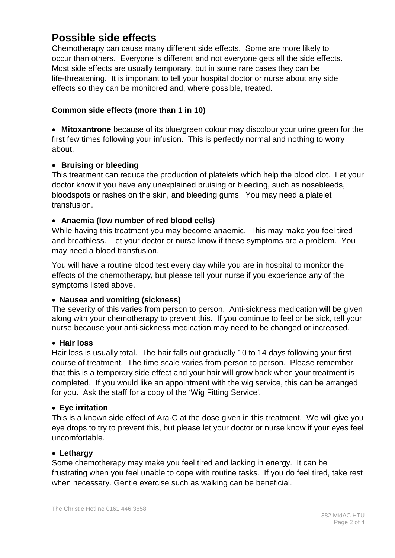# **Possible side effects**

Chemotherapy can cause many different side effects. Some are more likely to occur than others. Everyone is different and not everyone gets all the side effects. Most side effects are usually temporary, but in some rare cases they can be life-threatening. It is important to tell your hospital doctor or nurse about any side effects so they can be monitored and, where possible, treated.

# **Common side effects (more than 1 in 10)**

• **Mitoxantrone** because of its blue/green colour may discolour your urine green for the first few times following your infusion. This is perfectly normal and nothing to worry about.

## • **Bruising or bleeding**

This treatment can reduce the production of platelets which help the blood clot. Let your doctor know if you have any unexplained bruising or bleeding, such as nosebleeds, bloodspots or rashes on the skin, and bleeding gums. You may need a platelet transfusion.

# • **Anaemia (low number of red blood cells)**

While having this treatment you may become anaemic. This may make you feel tired and breathless. Let your doctor or nurse know if these symptoms are a problem. You may need a blood transfusion.

You will have a routine blood test every day while you are in hospital to monitor the effects of the chemotherapy**,** but please tell your nurse if you experience any of the symptoms listed above.

## • **Nausea and vomiting (sickness)**

The severity of this varies from person to person. Anti-sickness medication will be given along with your chemotherapy to prevent this. If you continue to feel or be sick, tell your nurse because your anti-sickness medication may need to be changed or increased.

## • **Hair loss**

Hair loss is usually total. The hair falls out gradually 10 to 14 days following your first course of treatment. The time scale varies from person to person. Please remember that this is a temporary side effect and your hair will grow back when your treatment is completed. If you would like an appointment with the wig service, this can be arranged for you. Ask the staff for a copy of the 'Wig Fitting Service'*.*

## • **Eye irritation**

This is a known side effect of Ara-C at the dose given in this treatment. We will give you eye drops to try to prevent this, but please let your doctor or nurse know if your eyes feel uncomfortable.

## • **Lethargy**

Some chemotherapy may make you feel tired and lacking in energy. It can be frustrating when you feel unable to cope with routine tasks. If you do feel tired, take rest when necessary. Gentle exercise such as walking can be beneficial.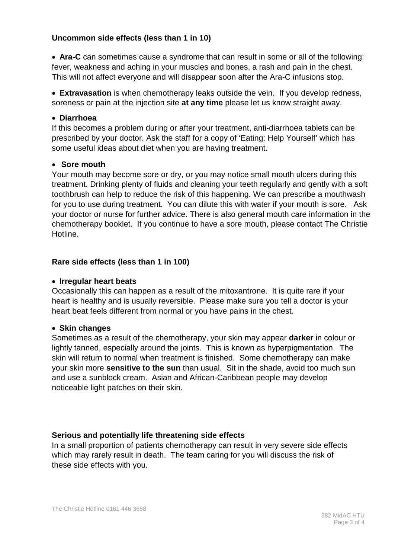# **Uncommon side effects (less than 1 in 10)**

• **Ara-C** can sometimes cause a syndrome that can result in some or all of the following: fever, weakness and aching in your muscles and bones, a rash and pain in the chest. This will not affect everyone and will disappear soon after the Ara-C infusions stop.

• **Extravasation** is when chemotherapy leaks outside the vein. If you develop redness, soreness or pain at the injection site **at any time** please let us know straight away.

#### • **Diarrhoea**

If this becomes a problem during or after your treatment, anti-diarrhoea tablets can be prescribed by your doctor. Ask the staff for a copy of 'Eating: Help Yourself' which has some useful ideas about diet when you are having treatment.

#### • **Sore mouth**

Your mouth may become sore or dry, or you may notice small mouth ulcers during this treatment. Drinking plenty of fluids and cleaning your teeth regularly and gently with a soft toothbrush can help to reduce the risk of this happening. We can prescribe a mouthwash for you to use during treatment. You can dilute this with water if your mouth is sore. Ask your doctor or nurse for further advice. There is also general mouth care information in the chemotherapy booklet. If you continue to have a sore mouth, please contact The Christie Hotline.

#### **Rare side effects (less than 1 in 100)**

#### • **Irregular heart beats**

Occasionally this can happen as a result of the mitoxantrone. It is quite rare if your heart is healthy and is usually reversible. Please make sure you tell a doctor is your heart beat feels different from normal or you have pains in the chest.

#### • **Skin changes**

Sometimes as a result of the chemotherapy, your skin may appear **darker** in colour or lightly tanned, especially around the joints. This is known as hyperpigmentation. The skin will return to normal when treatment is finished. Some chemotherapy can make your skin more **sensitive to the sun** than usual. Sit in the shade, avoid too much sun and use a sunblock cream. Asian and African-Caribbean people may develop noticeable light patches on their skin.

#### **Serious and potentially life threatening side effects**

In a small proportion of patients chemotherapy can result in very severe side effects which may rarely result in death. The team caring for you will discuss the risk of these side effects with you.